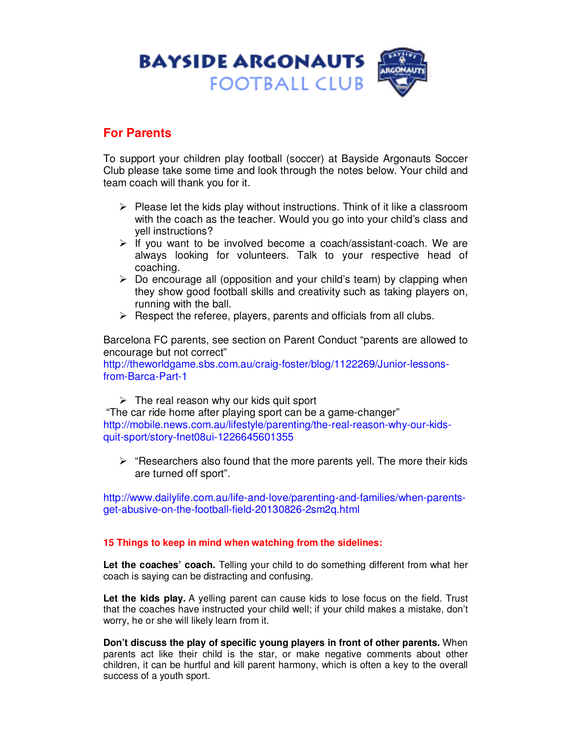

## **For Parents**

To support your children play football (soccer) at Bayside Argonauts Soccer Club please take some time and look through the notes below. Your child and team coach will thank you for it.

- $\triangleright$  Please let the kids play without instructions. Think of it like a classroom with the coach as the teacher. Would you go into your child's class and yell instructions?
- $\triangleright$  If you want to be involved become a coach/assistant-coach. We are always looking for volunteers. Talk to your respective head of coaching.
- $\triangleright$  Do encourage all (opposition and your child's team) by clapping when they show good football skills and creativity such as taking players on, running with the ball.
- $\triangleright$  Respect the referee, players, parents and officials from all clubs.

Barcelona FC parents, see section on Parent Conduct "parents are allowed to encourage but not correct"

http://theworldgame.sbs.com.au/craig-foster/blog/1122269/Junior-lessonsfrom-Barca-Part-1

 $\triangleright$  The real reason why our kids quit sport

 "The car ride home after playing sport can be a game-changer" http://mobile.news.com.au/lifestyle/parenting/the-real-reason-why-our-kidsquit-sport/story-fnet08ui-1226645601355

 $\triangleright$  "Researchers also found that the more parents yell. The more their kids are turned off sport".

http://www.dailylife.com.au/life-and-love/parenting-and-families/when-parentsget-abusive-on-the-football-field-20130826-2sm2q.html

## **15 Things to keep in mind when watching from the sidelines:**

**Let the coaches' coach.** Telling your child to do something different from what her coach is saying can be distracting and confusing.

Let the kids play. A yelling parent can cause kids to lose focus on the field. Trust that the coaches have instructed your child well; if your child makes a mistake, don't worry, he or she will likely learn from it.

**Don't discuss the play of specific young players in front of other parents.** When parents act like their child is the star, or make negative comments about other children, it can be hurtful and kill parent harmony, which is often a key to the overall success of a youth sport.